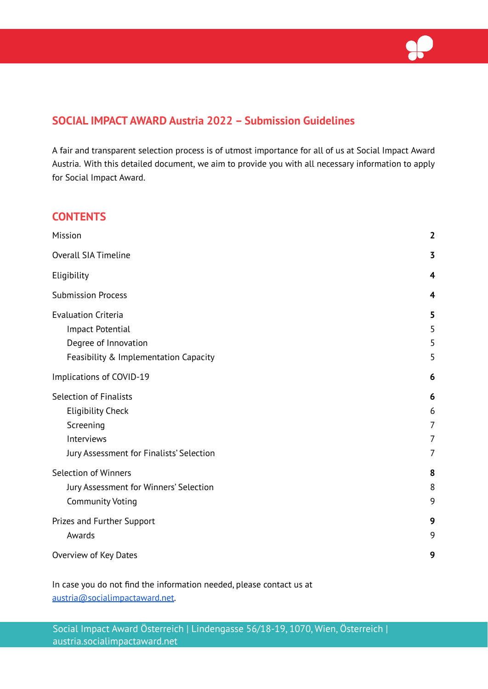

# **SOCIAL IMPACT AWARD Austria 2022 – Submission Guidelines**

A fair and transparent selection process is of utmost importance for all of us at Social Impact Award Austria. With this detailed document, we aim to provide you with all necessary information to apply for Social Impact Award.

## **CONTENTS**

| Mission                                                                                                                          | $\overline{\mathbf{2}}$            |
|----------------------------------------------------------------------------------------------------------------------------------|------------------------------------|
| <b>Overall SIA Timeline</b>                                                                                                      | $\overline{\mathbf{3}}$            |
| Eligibility                                                                                                                      | 4                                  |
| <b>Submission Process</b>                                                                                                        | 4                                  |
| <b>Evaluation Criteria</b><br>Impact Potential<br>Degree of Innovation<br>Feasibility & Implementation Capacity                  | 5<br>5<br>5<br>5                   |
| Implications of COVID-19                                                                                                         | 6                                  |
| <b>Selection of Finalists</b><br><b>Eligibility Check</b><br>Screening<br>Interviews<br>Jury Assessment for Finalists' Selection | 6<br>6<br>$\overline{7}$<br>7<br>7 |
| <b>Selection of Winners</b><br>Jury Assessment for Winners' Selection<br><b>Community Voting</b>                                 | 8<br>8<br>9                        |
| Prizes and Further Support<br>Awards                                                                                             | 9<br>9                             |
| Overview of Key Dates                                                                                                            | 9                                  |

In case you do not find the information needed, please contact us at [austria@socialimpactaward.net.](http://austria@socialimpactaward.net.)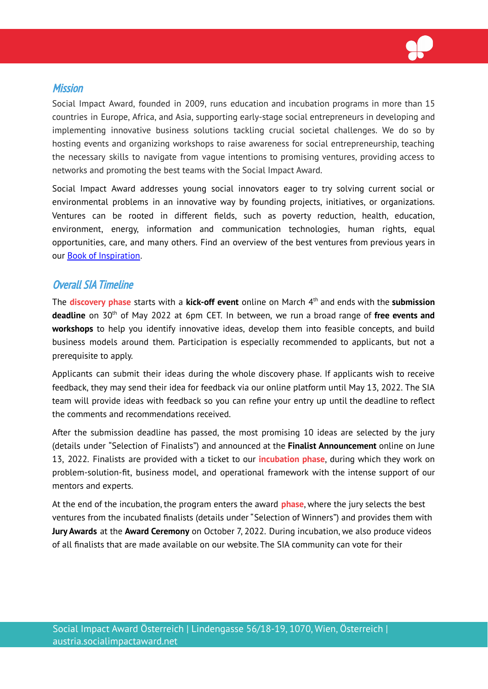

### <span id="page-1-0"></span>**Mission**

Social Impact Award, founded in 2009, runs education and incubation programs in more than 15 countries in Europe, Africa, and Asia, supporting early-stage social entrepreneurs in developing and implementing innovative business solutions tackling crucial societal challenges. We do so by hosting events and organizing workshops to raise awareness for social entrepreneurship, teaching the necessary skills to navigate from vague intentions to promising ventures, providing access to networks and promoting the best teams with the Social Impact Award.

Social Impact Award addresses young social innovators eager to try solving current social or environmental problems in an innovative way by founding projects, initiatives, or organizations. Ventures can be rooted in different fields, such as poverty reduction, health, education, environment, energy, information and communication technologies, human rights, equal opportunities, care, and many others. Find an overview of the best ventures from previous years in our Book of [Inspiration](http://www.socialimpactaward.net/book-of-inspiration).

## <span id="page-1-1"></span>Overall SIA Timeline

The **discovery phase** starts with a **kick-off event** online on March 4 th and ends with the **submission deadline** on 30<sup>th</sup> of May 2022 at 6pm CET. In between, we run a broad range of free events and **workshops** to help you identify innovative ideas, develop them into feasible concepts, and build business models around them. Participation is especially recommended to applicants, but not a prerequisite to apply.

Applicants can submit their ideas during the whole discovery phase. If applicants wish to receive feedback, they may send their idea for feedback via our online platform until May 13, 2022. The SIA team will provide ideas with feedback so you can refine your entry up until the deadline to reflect the comments and recommendations received.

After the submission deadline has passed, the most promising 10 ideas are selected by the jury (details under "Selection of Finalists") and announced at the **Finalist Announcement** online on June 13, 2022. Finalists are provided with a ticket to our **incubation phase**, during which they work on problem-solution-fit, business model, and operational framework with the intense support of our mentors and experts.

At the end of the incubation, the program enters the award **phase**, where the jury selects the best ventures from the incubated finalists (details under "Selection of Winners") and provides them with **Jury Awards** at the **Award Ceremony** on October 7, 2022. During incubation, we also produce videos of all finalists that are made available on our website. The SIA community can vote for their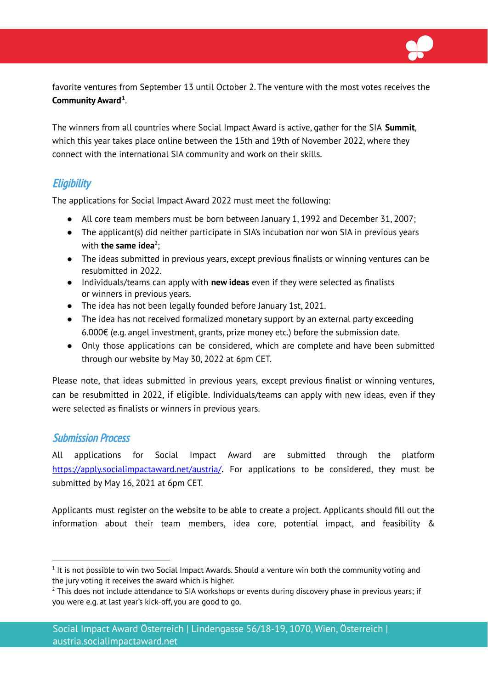

favorite ventures from September 13 until October 2. The venture with the most votes receives the **Community Award 1** .

The winners from all countries where Social Impact Award is active, gather for the SIA **Summit**, which this year takes place online between the 15th and 19th of November 2022, where they connect with the international SIA community and work on their skills.

# <span id="page-2-0"></span>**Eligibility**

The applications for Social Impact Award 2022 must meet the following:

- All core team members must be born between January 1, 1992 and December 31, 2007;
- The applicant(s) did neither participate in SIA's incubation nor won SIA in previous years with **the same idea** 2 ;
- The ideas submitted in previous years, except previous finalists or winning ventures can be resubmitted in 2022.
- Individuals/teams can apply with **new ideas** even if they were selected as finalists or winners in previous years.
- The idea has not been legally founded before January 1st, 2021.
- The idea has not received formalized monetary support by an external party exceeding 6.000€ (e.g. angel investment, grants, prize money etc.) before the submission date.
- Only those applications can be considered, which are complete and have been submitted through our website by May 30, 2022 at 6pm CET.

Please note, that ideas submitted in previous years, except previous finalist or winning ventures, can be resubmitted in 2022, if eligible. Individuals/teams can apply with new ideas, even if they were selected as finalists or winners in previous years.

## <span id="page-2-1"></span>Submission Process

All applications for Social Impact Award are submitted through the platform <https://apply.socialimpactaward.net/austria/>. For applications to be considered, they must be submitted by May 16, 2021 at 6pm CET.

Applicants must register on the website to be able to create a project. Applicants should fill out the information about their team members, idea core, potential impact, and feasibility &

 $^1$  It is not possible to win two Social Impact Awards. Should a venture win both the community voting and the jury voting it receives the award which is higher.

 $2$  This does not include attendance to SIA workshops or events during discovery phase in previous years; if you were e.g. at last year's kick-off, you are good to go.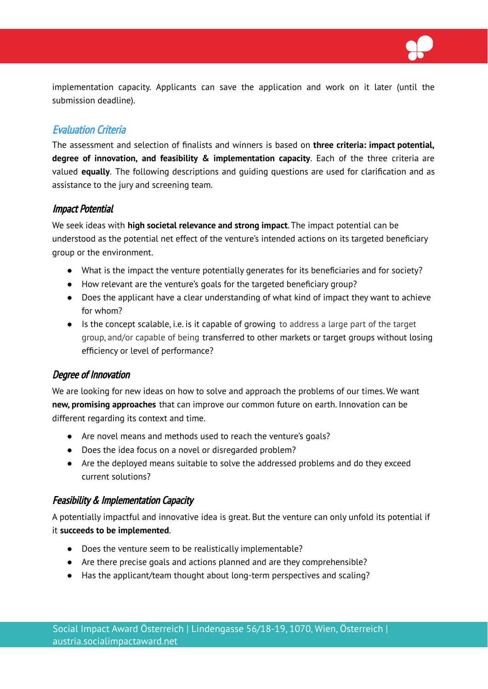

implementation capacity. Applicants can save the application and work on it later (until the submission deadline).

# <span id="page-3-0"></span>Evaluation Criteria

The assessment and selection of finalists and winners is based on **three criteria: impact potential, degree of innovation, and feasibility & implementation capacity**. Each of the three criteria are valued **equally**. The following descriptions and guiding questions are used for clarification and as assistance to the jury and screening team.

#### <span id="page-3-1"></span>Impact Potential

We seek ideas with **high societal relevance and strong impact**. The impact potential can be understood as the potential net effect of the venture's intended actions on its targeted beneficiary group or the environment.

- What is the impact the venture potentially generates for its beneficiaries and for society?
- How relevant are the venture's goals for the targeted beneficiary group?
- Does the applicant have a clear understanding of what kind of impact they want to achieve for whom?
- Is the concept scalable, i.e. is it capable of growing to address a large part of the target group, and/or capable of being transferred to other markets or target groups without losing efficiency or level of performance?

## <span id="page-3-2"></span>Degree of Innovation

We are looking for new ideas on how to solve and approach the problems of our times. We want **new, promising approaches** that can improve our common future on earth. Innovation can be different regarding its context and time.

- Are novel means and methods used to reach the venture's goals?
- Does the idea focus on a novel or disregarded problem?
- Are the deployed means suitable to solve the addressed problems and do they exceed current solutions?

#### <span id="page-3-3"></span>Feasibility & Implementation Capacity

A potentially impactful and innovative idea is great. But the venture can only unfold its potential if it **succeeds to be implemented**.

- Does the venture seem to be realistically implementable?
- Are there precise goals and actions planned and are they comprehensible?
- Has the applicant/team thought about long-term perspectives and scaling?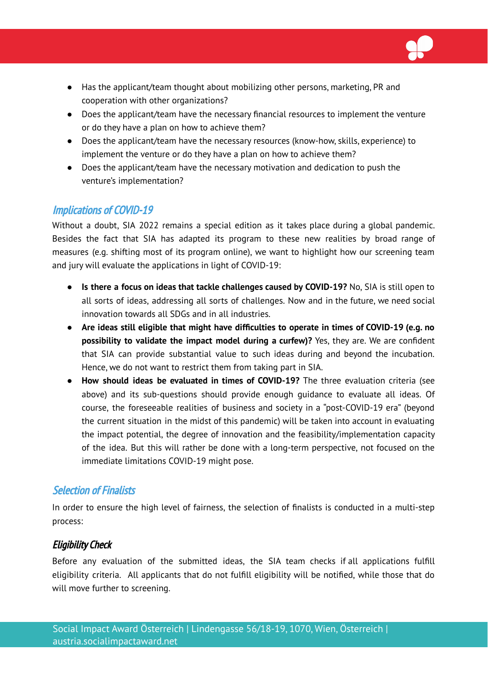

- Has the applicant/team thought about mobilizing other persons, marketing, PR and cooperation with other organizations?
- Does the applicant/team have the necessary financial resources to implement the venture or do they have a plan on how to achieve them?
- Does the applicant/team have the necessary resources (know-how, skills, experience) to implement the venture or do they have a plan on how to achieve them?
- *●* Does the applicant/team have the necessary motivation and dedication to push the venture's implementation?

# <span id="page-4-0"></span>Implications of COVID-19

Without a doubt, SIA 2022 remains a special edition as it takes place during a global pandemic. Besides the fact that SIA has adapted its program to these new realities by broad range of measures (e.g. shifting most of its program online), we want to highlight how our screening team and jury will evaluate the applications in light of COVID-19:

- **Is there a focus on ideas that tackle challenges caused by COVID-19?** No, SIA is still open to all sorts of ideas, addressing all sorts of challenges. Now and in the future, we need social innovation towards all SDGs and in all industries.
- **● Are ideas still eligible that might have difficulties to operate in times of COVID-19 (e.g. no possibility to validate the impact model during a curfew)?** Yes, they are. We are confident that SIA can provide substantial value to such ideas during and beyond the incubation. Hence, we do not want to restrict them from taking part in SIA.
- **● How should ideas be evaluated in times of COVID-19?** The three evaluation criteria (see above) and its sub-questions should provide enough guidance to evaluate all ideas. Of course, the foreseeable realities of business and society in a "post-COVID-19 era" (beyond the current situation in the midst of this pandemic) will be taken into account in evaluating the impact potential, the degree of innovation and the feasibility/implementation capacity of the idea. But this will rather be done with a long-term perspective, not focused on the immediate limitations COVID-19 might pose.

## <span id="page-4-1"></span>Selection of Finalists

In order to ensure the high level of fairness, the selection of finalists is conducted in a multi-step process:

## <span id="page-4-2"></span>Eligibility Check

Before any evaluation of the submitted ideas, the SIA team checks if all applications fulfill eligibility criteria. All applicants that do not fulfill eligibility will be notified, while those that do will move further to screening.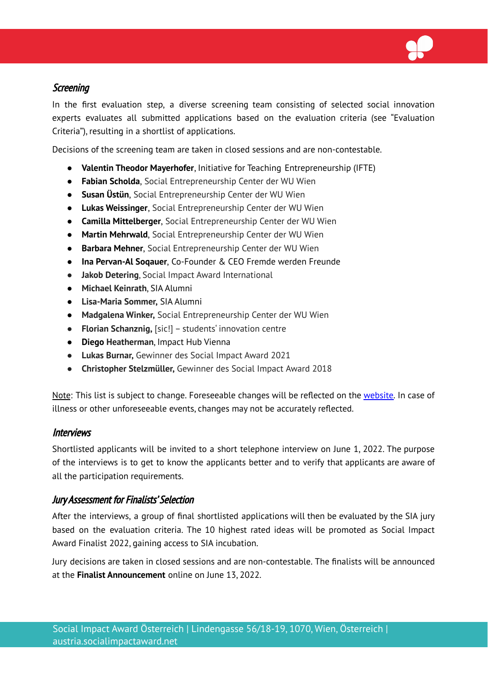

### <span id="page-5-0"></span>**Screening**

In the first evaluation step, a diverse screening team consisting of selected social innovation experts evaluates all submitted applications based on the evaluation criteria (see "Evaluation Criteria"), resulting in a shortlist of applications.

Decisions of the screening team are taken in closed sessions and are non-contestable.

- **Valentin Theodor Mayerhofer**, Initiative for Teaching Entrepreneurship (IFTE)
- **Fabian Scholda**, Social Entrepreneurship Center der WU Wien
- **● Susan Üstün**, Social Entrepreneurship Center der WU Wien
- **Lukas Weissinger**, Social Entrepreneurship Center der WU Wien
- **Camilla Mittelberger**, Social Entrepreneurship Center der WU Wien
- **Martin Mehrwald**, Social Entrepreneurship Center der WU Wien
- **Barbara Mehner**, Social Entrepreneurship Center der WU Wien
- **● Ina Pervan-Al Soqauer**, Co-Founder & CEO Fremde werden Freunde
- **Jakob Detering**, Social Impact Award International
- **Michael Keinrath**, SIA Alumni
- **Lisa-Maria Sommer,** SIA Alumni
- **Madgalena Winker,** Social Entrepreneurship Center der WU Wien
- **Florian Schanznig,** [sic!] students' innovation centre
- **Diego Heatherman**, Impact Hub Vienna
- **Lukas Burnar,** Gewinner des Social Impact Award 2021
- **● Christopher Stelzmüller,** Gewinner des Social Impact Award 2018

Note: This list is subject to change. Foreseeable changes will be reflected on the [website.](https://austria.socialimpactaward.net/about/screening-team/) In case of illness or other unforeseeable events, changes may not be accurately reflected.

#### <span id="page-5-1"></span>Interviews

Shortlisted applicants will be invited to a short telephone interview on June 1, 2022. The purpose of the interviews is to get to know the applicants better and to verify that applicants are aware of all the participation requirements.

#### <span id="page-5-2"></span>Jury Assessment for Finalists' Selection

After the interviews, a group of final shortlisted applications will then be evaluated by the SIA jury based on the evaluation criteria. The 10 highest rated ideas will be promoted as Social Impact Award Finalist 2022, gaining access to SIA incubation.

Jury decisions are taken in closed sessions and are non-contestable. The finalists will be announced at the **Finalist Announcement** online on June 13, 2022.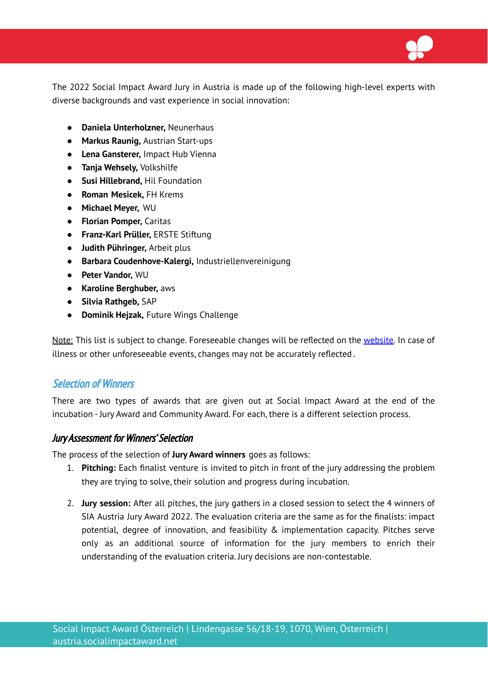The 2022 Social Impact Award Jury in Austria is made up of the following high-level experts with diverse backgrounds and vast experience in social innovation:

- **● Daniela Unterholzner,** Neunerhaus
- **● Markus Raunig,** Austrian Start-ups
- **● Lena Gansterer,** Impact Hub Vienna
- **● Tanja Wehsely,** Volkshilfe
- **● Susi Hillebrand,** Hil Foundation
- **● Roman Mesicek,** FH Krems
- **● Michael Meyer,** WU
- **● Florian Pomper,** Caritas
- **● Franz-Karl Prüller,** ERSTE Stiftung
- **● Judith Pühringer,** Arbeit plus
- **● Barbara Coudenhove-Kalergi,** Industriellenvereinigung
- **● Peter Vandor,** WU
- **● Karoline Berghuber,** aws
- **Silvia Rathgeb,** SAP
- **Dominik Hejzak,** Future Wings Challenge

Note: This list is subject to change. Foreseeable changes will be reflected on the [website.](https://austria.socialimpactaward.net/about/jury/) In case of illness or other unforeseeable events, changes may not be accurately reflected .

#### <span id="page-6-0"></span>Selection of Winners

There are two types of awards that are given out at Social Impact Award at the end of the incubation - Jury Award and Community Award. For each, there is a different selection process.

#### <span id="page-6-1"></span>Jury Assessment for Winners' Selection

The process of the selection of **Jury Award winners** goes as follows:

- 1. **Pitching:** Each finalist venture is invited to pitch in front of the jury addressing the problem they are trying to solve, their solution and progress during incubation.
- 2. **Jury session:** After all pitches, the jury gathers in a closed session to select the 4 winners of SIA Austria Jury Award 2022. The evaluation criteria are the same as for the finalists: impact potential, degree of innovation, and feasibility & implementation capacity. Pitches serve only as an additional source of information for the jury members to enrich their understanding of the evaluation criteria. Jury decisions are non-contestable.